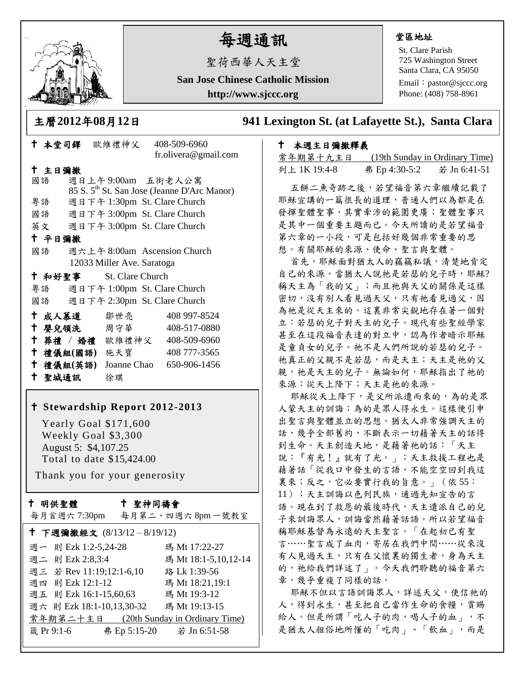

# 每週通訊

聖荷西華人天主堂

**San Jose Chinese Catholic Mission http://www.sjccc.org**

#### 堂區地址

St. Clare Parish 725 Washington Street Santa Clara, CA 95050

Email: [pastor@sjccc.org](mailto:pastor@sjccc.org) Phone: (408) 758-8961

主曆**2012**年**08**月**12**日 **941 Lexington St. (at Lafayette St.), Santa Clara** 

## 本週主日彌撒釋義

常年期第十九主日 (19th Sunday in Ordinary Time) 列上 1K 19:4-8 弗 Ep 4:30-5:2 若 Jn 6:41-51

五餅二魚奇跡之後,若望福音第六章繼續記載了 耶穌宣講的一篇很長的道理,普通人們以為都是在 發揮聖體聖事,其實牽涉的範圍更廣;聖體聖事只 是其中一個重要主題而已。今天所讀的是若望福音 第六章的一小段,可是包括好幾個非常重要的思 想。有關耶穌的來源、使命、聖言與聖體。

首先,耶穌面對猶太人的竊竊私議,清楚地肯定 自己的來源。當猶太人說祂是若瑟的兒子時,耶穌? 稱天主為「我的父」;而且祂與天父的關係是這樣 密切,沒有別人看見過天父,只有祂看見過父,因 為祂是從天主來的。這裏非常尖銳地存在著一個對 立:若瑟的兒子對天主的兒子。現代有些聖經學家 甚至在這段福音表達的對立中,認為作者暗示耶穌 是童貞女的兒子。祂不是人們所說的若瑟的兒子。 祂真正的父親不是若瑟,而是天主;天主是祂的父 親,祂是天主的兒子。無論如何,耶穌指出了祂的 來源:從天上降下;天主是祂的來源。

耶穌從天上降下,是父所派遣而來的,為的是眾 人蒙天主的訓誨;為的是眾人得永生。這樣便引申 出聖言與聖體並立的思想。猶太人非常強調天主的 話,幾乎全部舊約,不斷表示一切藉著天主的話得 到生命。天主創造天地,是藉著祂的話:「天主 說:『有光!』就有了光。」;天主救援工程也是 藉著話「從我口中發生的言語,不能空空回到我這 裏來;反之,它必要實行我的旨意。」(依 55: 11);天主訓誨以色列民族,通過先知宣告的言 語。現在到了救恩的最後時代,天主遣派自己的兒 子來訓誨眾人,訓誨當然藉著話語。所以若望福音 稱耶穌基督為永遠的天主聖言。「在起初已有聖 言……聖言成了血肉,寄居在我們中間……從來沒 有人見過天主,只有在父懷裏的獨生者,身為天主 的, 祂給我們詳述了」。今天我們聆聽的福音第六 章,幾乎重複了同樣的話。

耶穌不但以言語訓誨眾人,詳述天父,使信祂的 人,得到永生,甚至把自己當作生命的食糧,賞賜 給人。但是所謂「吃人子的肉,喝人子的血」,不 是猶太人粗俗地所懂的「吃肉」、「飲血」,而是

|        |        |                         |     | fr.olivera@gmail.com                                    |  |
|--------|--------|-------------------------|-----|---------------------------------------------------------|--|
|        | 十 主日彌撒 |                         |     |                                                         |  |
|        | 國語     |                         |     | 週日上午9:00am 五街老人公寓                                       |  |
|        |        |                         |     | 85 S. 5 <sup>th</sup> St. San Jose (Jeanne D'Arc Manor) |  |
|        | 粤語     |                         |     | 週日下午 1:30pm St. Clare Church                            |  |
|        |        |                         |     | 國語 週日下午 3:00pm St. Clare Church                         |  |
|        |        |                         |     | 英文 週日下午 3:00pm St. Clare Church                         |  |
| 十 平日彌撒 |        |                         |     |                                                         |  |
|        | 國語     |                         |     | 週六上午 8:00am Ascension Church                            |  |
|        |        |                         |     | 12033 Miller Ave. Saratoga                              |  |
|        |        | † 和好聖事 St. Clare Church |     |                                                         |  |
|        | 粤語     |                         |     | 週日下午 1:00pm St. Clare Church                            |  |
|        |        |                         |     | 國語 週日下午 2:30pm St. Clare Church                         |  |
|        | 十 成人慕道 |                         | 鄒世亮 | 408 997-8524                                            |  |
| t      |        | 婴兒領洗 周守華                |     | 408-517-0880                                            |  |
|        |        |                         |     | † 葬禮 / 婚禮 歐維禮神父 408-509-6960                            |  |
|        |        | 十 禮儀組(國語) 施天寶           |     | 408 777-3565                                            |  |
|        |        |                         |     | † 禮儀組(英語) Joanne Chao 650-906-1456                      |  |
|        | 十 聖城通訊 |                         | 徐琪  |                                                         |  |

本堂司鐸 歐維禮神父 408-509-6960

### **Stewardship Report 2012-2013**

 Yearly Goal \$171,600 Weekly Goal \$3,300 August 5: \$4,107.25 Total to date \$15,424.00

Thank you for your generosity

#### 十 明供聖體

# 聖神同禱會

| 每月首週六 7:30pm | 每月第二、四週六8pm一號教室 |
|--------------|-----------------|
|--------------|-----------------|

| ↑ 下週彌撒經文 (8/13/12-8/19/12) |              |                                         |  |  |  |  |
|----------------------------|--------------|-----------------------------------------|--|--|--|--|
| 週一 則 Ezk 1:2-5,24-28       |              | 瑪 Mt 17:22-27                           |  |  |  |  |
| 週二 則 Ezk 2:8,3:4           |              | 瑪 Mt 18:1-5,10,12-14                    |  |  |  |  |
| 週三 若 Rev 11:19;12:1-6,10   |              | 路 Lk 1:39-56                            |  |  |  |  |
| 週四 則 Ezk 12:1-12           |              | 瑪 Mt 18:21,19:1                         |  |  |  |  |
| 週五 則 Ezk 16:1-15,60,63     |              | 瑪 Mt 19:3-12                            |  |  |  |  |
| 週六 則 Ezk 18:1-10,13,30-32  |              | 瑪 Mt 19:13-15                           |  |  |  |  |
|                            |              | 常年期第二十主日 (20th Sunday in Ordinary Time) |  |  |  |  |
| 箴 Pr 9:1-6                 | 弗 Ep 5:15-20 | 若 Jn 6:51-58                            |  |  |  |  |
|                            |              |                                         |  |  |  |  |